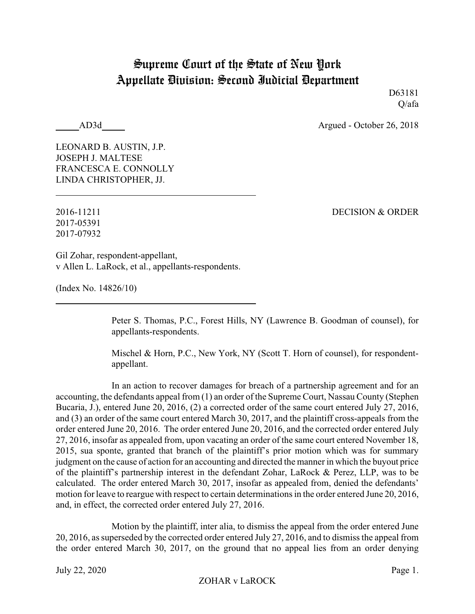## Supreme Court of the State of New York Appellate Division: Second Judicial Department

D63181 Q/afa

AD3d Argued - October 26, 2018

LEONARD B. AUSTIN, J.P. JOSEPH J. MALTESE FRANCESCA E. CONNOLLY LINDA CHRISTOPHER, JJ.

2017-05391 2017-07932

2016-11211 DECISION & ORDER

Gil Zohar, respondent-appellant, v Allen L. LaRock, et al., appellants-respondents.

(Index No. 14826/10)

Peter S. Thomas, P.C., Forest Hills, NY (Lawrence B. Goodman of counsel), for appellants-respondents.

Mischel & Horn, P.C., New York, NY (Scott T. Horn of counsel), for respondentappellant.

In an action to recover damages for breach of a partnership agreement and for an accounting, the defendants appeal from (1) an order of the Supreme Court, Nassau County (Stephen Bucaria, J.), entered June 20, 2016, (2) a corrected order of the same court entered July 27, 2016, and (3) an order of the same court entered March 30, 2017, and the plaintiff cross-appeals from the order entered June 20, 2016. The order entered June 20, 2016, and the corrected order entered July 27, 2016, insofar as appealed from, upon vacating an order of the same court entered November 18, 2015, sua sponte, granted that branch of the plaintiff's prior motion which was for summary judgment on the cause of action for an accounting and directed the manner in which the buyout price of the plaintiff's partnership interest in the defendant Zohar, LaRock & Perez, LLP, was to be calculated. The order entered March 30, 2017, insofar as appealed from, denied the defendants' motion for leave to reargue with respect to certain determinations in the order entered June 20, 2016, and, in effect, the corrected order entered July 27, 2016.

Motion by the plaintiff, inter alia, to dismiss the appeal from the order entered June 20, 2016, as superseded by the corrected order entered July 27, 2016, and to dismiss the appeal from the order entered March 30, 2017, on the ground that no appeal lies from an order denying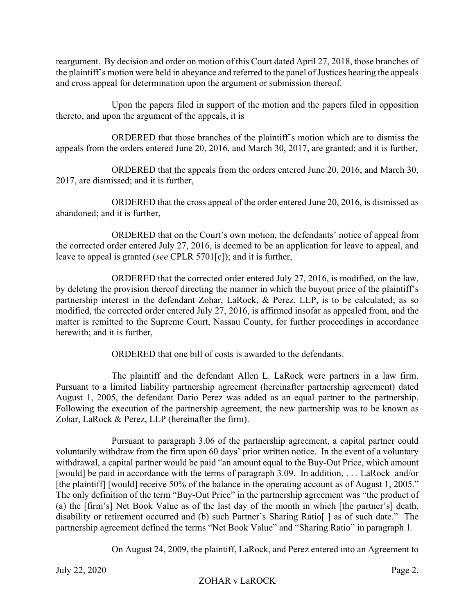reargument. By decision and order on motion of this Court dated April 27, 2018, those branches of the plaintiff's motion were held in abeyance and referred to the panel of Justices hearing the appeals and cross appeal for determination upon the argument or submission thereof.

Upon the papers filed in support of the motion and the papers filed in opposition thereto, and upon the argument of the appeals, it is

ORDERED that those branches of the plaintiff's motion which are to dismiss the appeals from the orders entered June 20, 2016, and March 30, 2017, are granted; and it is further,

ORDERED that the appeals from the orders entered June 20, 2016, and March 30, 2017, are dismissed; and it is further,

ORDERED that the cross appeal of the order entered June 20, 2016, is dismissed as abandoned; and it is further,

ORDERED that on the Court's own motion, the defendants' notice of appeal from the corrected order entered July 27, 2016, is deemed to be an application for leave to appeal, and leave to appeal is granted (*see* CPLR 5701[c]); and it is further,

ORDERED that the corrected order entered July 27, 2016, is modified, on the law, by deleting the provision thereof directing the manner in which the buyout price of the plaintiff's partnership interest in the defendant Zohar, LaRock, & Perez, LLP, is to be calculated; as so modified, the corrected order entered July 27, 2016, is affirmed insofar as appealed from, and the matter is remitted to the Supreme Court, Nassau County, for further proceedings in accordance herewith; and it is further,

ORDERED that one bill of costs is awarded to the defendants.

The plaintiff and the defendant Allen L. LaRock were partners in a law firm. Pursuant to a limited liability partnership agreement (hereinafter partnership agreement) dated August 1, 2005, the defendant Dario Perez was added as an equal partner to the partnership. Following the execution of the partnership agreement, the new partnership was to be known as Zohar, LaRock & Perez, LLP (hereinafter the firm).

Pursuant to paragraph 3.06 of the partnership agreement, a capital partner could voluntarily withdraw from the firm upon 60 days' prior written notice. In the event of a voluntary withdrawal, a capital partner would be paid "an amount equal to the Buy-Out Price, which amount [would] be paid in accordance with the terms of paragraph 3.09. In addition, . . . LaRock and/or [the plaintiff] [would] receive 50% of the balance in the operating account as of August 1, 2005." The only definition of the term "Buy-Out Price" in the partnership agreement was "the product of (a) the [firm's] Net Book Value as of the last day of the month in which [the partner's] death, disability or retirement occurred and (b) such Partner's Sharing Ratio<sup>[]</sup> as of such date." The partnership agreement defined the terms "Net Book Value" and "Sharing Ratio" in paragraph 1.

On August 24, 2009, the plaintiff, LaRock, and Perez entered into an Agreement to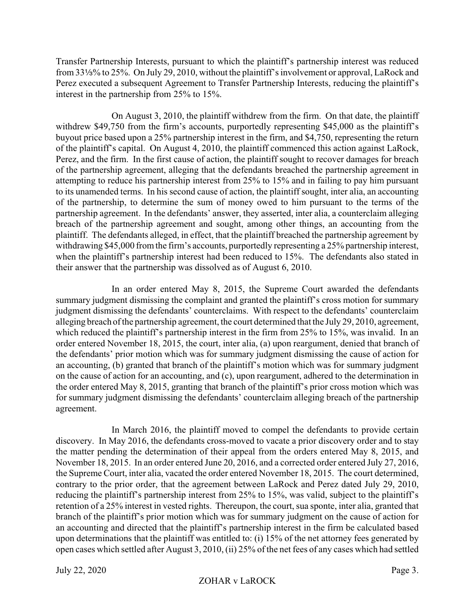Transfer Partnership Interests, pursuant to which the plaintiff's partnership interest was reduced from 331/<sub>3</sub>% to 25%. On July 29, 2010, without the plaintiff's involvement or approval, LaRock and Perez executed a subsequent Agreement to Transfer Partnership Interests, reducing the plaintiff's interest in the partnership from 25% to 15%.

On August 3, 2010, the plaintiff withdrew from the firm. On that date, the plaintiff withdrew \$49,750 from the firm's accounts, purportedly representing \$45,000 as the plaintiff's buyout price based upon a 25% partnership interest in the firm, and \$4,750, representing the return of the plaintiff's capital. On August 4, 2010, the plaintiff commenced this action against LaRock, Perez, and the firm. In the first cause of action, the plaintiff sought to recover damages for breach of the partnership agreement, alleging that the defendants breached the partnership agreement in attempting to reduce his partnership interest from 25% to 15% and in failing to pay him pursuant to its unamended terms. In his second cause of action, the plaintiff sought, inter alia, an accounting of the partnership, to determine the sum of money owed to him pursuant to the terms of the partnership agreement. In the defendants' answer, they asserted, inter alia, a counterclaim alleging breach of the partnership agreement and sought, among other things, an accounting from the plaintiff. The defendants alleged, in effect, that the plaintiff breached the partnership agreement by withdrawing \$45,000 from the firm's accounts, purportedly representing a 25% partnership interest, when the plaintiff's partnership interest had been reduced to 15%. The defendants also stated in their answer that the partnership was dissolved as of August 6, 2010.

In an order entered May 8, 2015, the Supreme Court awarded the defendants summary judgment dismissing the complaint and granted the plaintiff's cross motion for summary judgment dismissing the defendants' counterclaims. With respect to the defendants' counterclaim alleging breach of the partnership agreement, the court determined that the July 29, 2010, agreement, which reduced the plaintiff's partnership interest in the firm from 25% to 15%, was invalid. In an order entered November 18, 2015, the court, inter alia, (a) upon reargument, denied that branch of the defendants' prior motion which was for summary judgment dismissing the cause of action for an accounting, (b) granted that branch of the plaintiff's motion which was for summary judgment on the cause of action for an accounting, and (c), upon reargument, adhered to the determination in the order entered May 8, 2015, granting that branch of the plaintiff's prior cross motion which was for summary judgment dismissing the defendants' counterclaim alleging breach of the partnership agreement.

In March 2016, the plaintiff moved to compel the defendants to provide certain discovery. In May 2016, the defendants cross-moved to vacate a prior discovery order and to stay the matter pending the determination of their appeal from the orders entered May 8, 2015, and November 18, 2015. In an order entered June 20, 2016, and a corrected order entered July 27, 2016, the Supreme Court, inter alia, vacated the order entered November 18, 2015. The court determined, contrary to the prior order, that the agreement between LaRock and Perez dated July 29, 2010, reducing the plaintiff's partnership interest from 25% to 15%, was valid, subject to the plaintiff's retention of a 25% interest in vested rights. Thereupon, the court, sua sponte, inter alia, granted that branch of the plaintiff's prior motion which was for summary judgment on the cause of action for an accounting and directed that the plaintiff's partnership interest in the firm be calculated based upon determinations that the plaintiff was entitled to: (i) 15% of the net attorney fees generated by open cases which settled after August 3, 2010, (ii) 25% of the net fees of any cases which had settled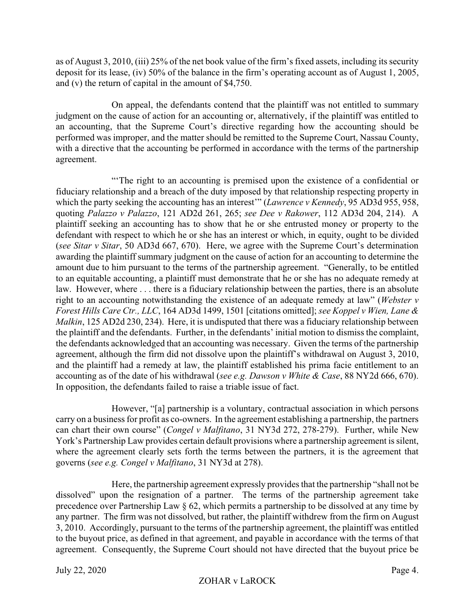as of August 3, 2010, (iii) 25% of the net book value of the firm's fixed assets, including its security deposit for its lease, (iv) 50% of the balance in the firm's operating account as of August 1, 2005, and (v) the return of capital in the amount of \$4,750.

On appeal, the defendants contend that the plaintiff was not entitled to summary judgment on the cause of action for an accounting or, alternatively, if the plaintiff was entitled to an accounting, that the Supreme Court's directive regarding how the accounting should be performed was improper, and the matter should be remitted to the Supreme Court, Nassau County, with a directive that the accounting be performed in accordance with the terms of the partnership agreement.

"'The right to an accounting is premised upon the existence of a confidential or fiduciary relationship and a breach of the duty imposed by that relationship respecting property in which the party seeking the accounting has an interest'" (*Lawrence v Kennedy*, 95 AD3d 955, 958, quoting *Palazzo v Palazzo*, 121 AD2d 261, 265; *see Dee v Rakower*, 112 AD3d 204, 214). A plaintiff seeking an accounting has to show that he or she entrusted money or property to the defendant with respect to which he or she has an interest or which, in equity, ought to be divided (*see Sitar v Sitar*, 50 AD3d 667, 670). Here, we agree with the Supreme Court's determination awarding the plaintiff summary judgment on the cause of action for an accounting to determine the amount due to him pursuant to the terms of the partnership agreement. "Generally, to be entitled to an equitable accounting, a plaintiff must demonstrate that he or she has no adequate remedy at law. However, where . . . there is a fiduciary relationship between the parties, there is an absolute right to an accounting notwithstanding the existence of an adequate remedy at law" (*Webster v Forest Hills Care Ctr., LLC*, 164 AD3d 1499, 1501 [citations omitted]; *see Koppel v Wien, Lane & Malkin*, 125 AD2d 230, 234). Here, it is undisputed that there was a fiduciary relationship between the plaintiff and the defendants. Further, in the defendants' initial motion to dismiss the complaint, the defendants acknowledged that an accounting was necessary. Given the terms of the partnership agreement, although the firm did not dissolve upon the plaintiff's withdrawal on August 3, 2010, and the plaintiff had a remedy at law, the plaintiff established his prima facie entitlement to an accounting as of the date of his withdrawal (*see e.g. Dawson v White & Case*, 88 NY2d 666, 670). In opposition, the defendants failed to raise a triable issue of fact.

However, "[a] partnership is a voluntary, contractual association in which persons carry on a business for profit as co-owners. In the agreement establishing a partnership, the partners can chart their own course" (*Congel v Malfitano*, 31 NY3d 272, 278-279). Further, while New York's Partnership Law provides certain default provisions where a partnership agreement is silent, where the agreement clearly sets forth the terms between the partners, it is the agreement that governs (*see e.g. Congel v Malfitano*, 31 NY3d at 278).

Here, the partnership agreement expressly provides that the partnership "shall not be dissolved" upon the resignation of a partner. The terms of the partnership agreement take precedence over Partnership Law § 62, which permits a partnership to be dissolved at any time by any partner. The firm was not dissolved, but rather, the plaintiff withdrew from the firm on August 3, 2010. Accordingly, pursuant to the terms of the partnership agreement, the plaintiff was entitled to the buyout price, as defined in that agreement, and payable in accordance with the terms of that agreement. Consequently, the Supreme Court should not have directed that the buyout price be